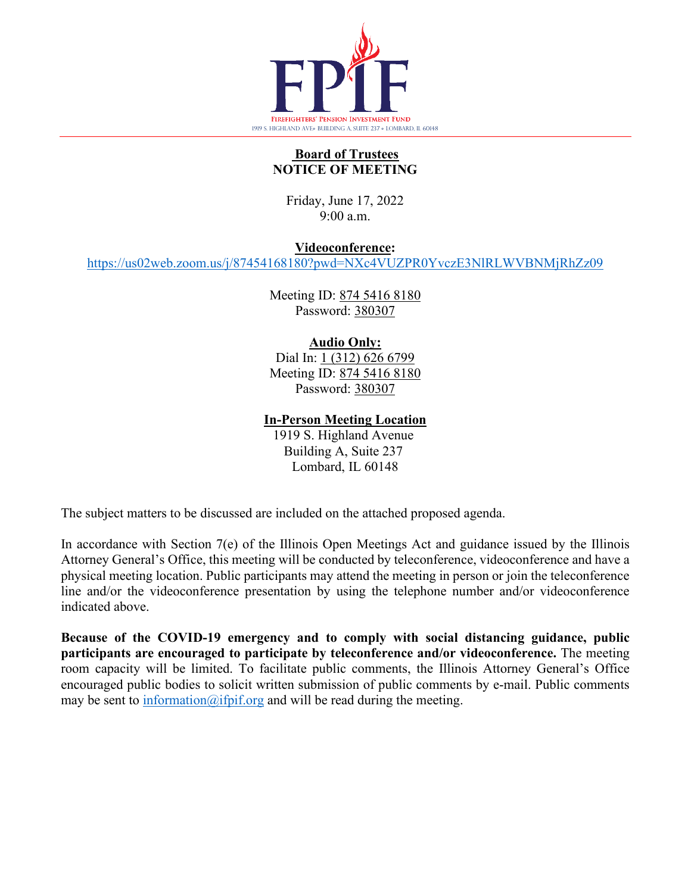

# **Board of Trustees NOTICE OF MEETING**

Friday, June 17, 2022 9:00 a.m.

**Videoconference:**

<https://us02web.zoom.us/j/87454168180?pwd=NXc4VUZPR0YvczE3NlRLWVBNMjRhZz09>

Meeting ID: 874 5416 8180 Password: 380307

# **Audio Only:**

Dial In: 1 (312) 626 6799 Meeting ID: 874 5416 8180 Password: 380307

**In-Person Meeting Location**

1919 S. Highland Avenue Building A, Suite 237 Lombard, IL 60148

The subject matters to be discussed are included on the attached proposed agenda.

In accordance with Section 7(e) of the Illinois Open Meetings Act and guidance issued by the Illinois Attorney General's Office, this meeting will be conducted by teleconference, videoconference and have a physical meeting location. Public participants may attend the meeting in person or join the teleconference line and/or the videoconference presentation by using the telephone number and/or videoconference indicated above.

**Because of the COVID-19 emergency and to comply with social distancing guidance, public participants are encouraged to participate by teleconference and/or videoconference.** The meeting room capacity will be limited. To facilitate public comments, the Illinois Attorney General's Office encouraged public bodies to solicit written submission of public comments by e-mail. Public comments may be sent to  $\frac{information(@ifpif.org; and will be read during the meeting.$